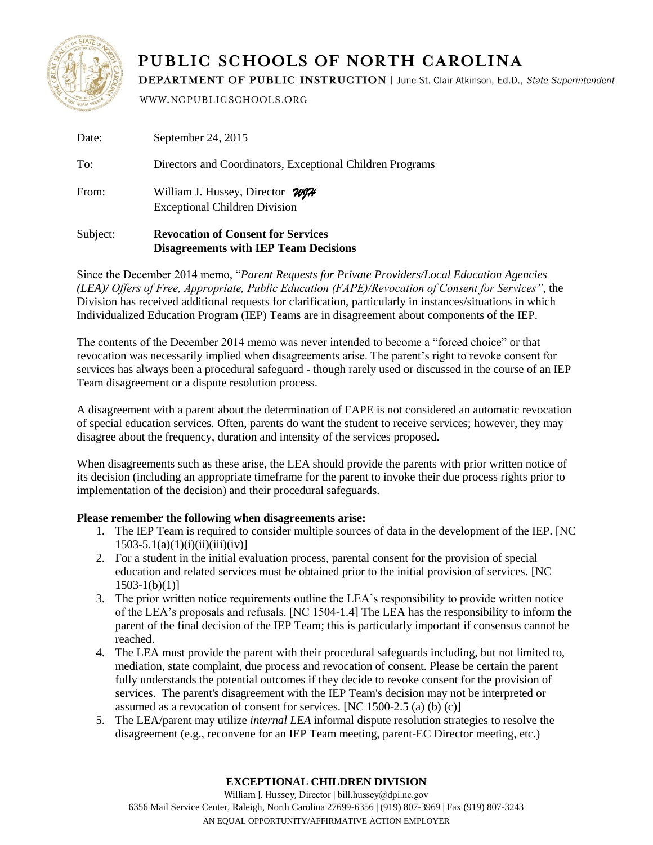

## PUBLIC SCHOOLS OF NORTH CAROLINA

DEPARTMENT OF PUBLIC INSTRUCTION | June St. Clair Atkinson, Ed.D., State Superintendent

WWW.NCPUBLICSCHOOLS.ORG

| Subject: | <b>Revocation of Consent for Services</b><br><b>Disagreements with IEP Team Decisions</b> |
|----------|-------------------------------------------------------------------------------------------|
| From:    | William J. Hussey, Director WIH<br><b>Exceptional Children Division</b>                   |
| To:      | Directors and Coordinators, Exceptional Children Programs                                 |
| Date:    | September 24, 2015                                                                        |

Since the December 2014 memo, "*Parent Requests for Private Providers/Local Education Agencies (LEA)/ Offers of Free, Appropriate, Public Education (FAPE)/Revocation of Consent for Services"*, the Division has received additional requests for clarification, particularly in instances/situations in which Individualized Education Program (IEP) Teams are in disagreement about components of the IEP.

The contents of the December 2014 memo was never intended to become a "forced choice" or that revocation was necessarily implied when disagreements arise. The parent's right to revoke consent for services has always been a procedural safeguard - though rarely used or discussed in the course of an IEP Team disagreement or a dispute resolution process.

A disagreement with a parent about the determination of FAPE is not considered an automatic revocation of special education services. Often, parents do want the student to receive services; however, they may disagree about the frequency, duration and intensity of the services proposed.

When disagreements such as these arise, the LEA should provide the parents with prior written notice of its decision (including an appropriate timeframe for the parent to invoke their due process rights prior to implementation of the decision) and their procedural safeguards.

## **Please remember the following when disagreements arise:**

- 1. The IEP Team is required to consider multiple sources of data in the development of the IEP. [NC  $1503-5.1(a)(1)(i)(ii)(iii)(iv)$ ]
- 2. For a student in the initial evaluation process, parental consent for the provision of special education and related services must be obtained prior to the initial provision of services. [NC  $1503-1(b)(1)$ ]
- 3. The prior written notice requirements outline the LEA's responsibility to provide written notice of the LEA's proposals and refusals. [NC 1504-1.4] The LEA has the responsibility to inform the parent of the final decision of the IEP Team; this is particularly important if consensus cannot be reached.
- 4. The LEA must provide the parent with their procedural safeguards including, but not limited to, mediation, state complaint, due process and revocation of consent. Please be certain the parent fully understands the potential outcomes if they decide to revoke consent for the provision of services. The parent's disagreement with the IEP Team's decision may not be interpreted or assumed as a revocation of consent for services.  $[NC 1500-2.5 (a) (b) (c)]$
- 5. The LEA/parent may utilize *internal LEA* informal dispute resolution strategies to resolve the disagreement (e.g., reconvene for an IEP Team meeting, parent-EC Director meeting, etc.)

## **EXCEPTIONAL CHILDREN DIVISION**

William J. Hussey, Director | bill.hussey@dpi.nc.gov 6356 Mail Service Center, Raleigh, North Carolina 27699-6356 | (919) 807-3969 | Fax (919) 807-3243 AN EQUAL OPPORTUNITY/AFFIRMATIVE ACTION EMPLOYER